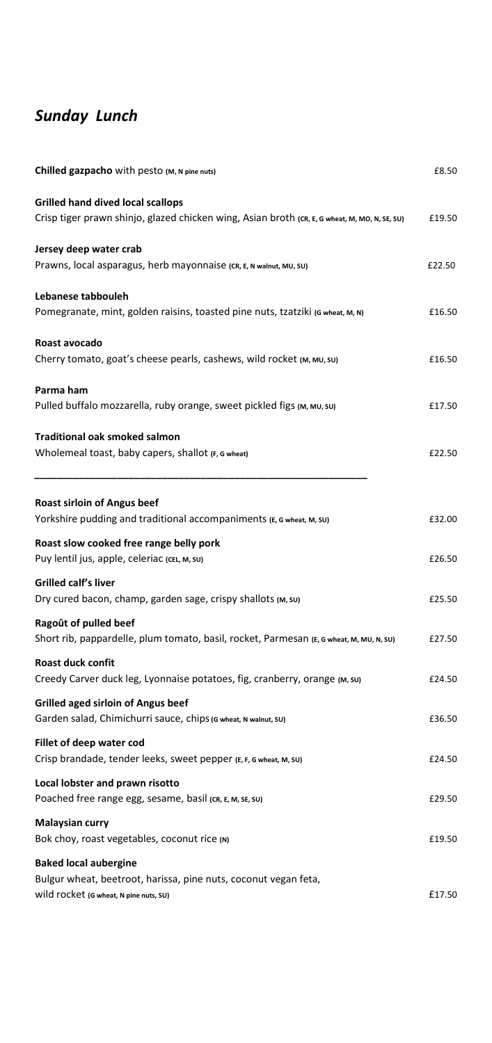## *Sunday Lunch*

| Chilled gazpacho with pesto (M, N pine nuts)                                                                                              | £8.50  |
|-------------------------------------------------------------------------------------------------------------------------------------------|--------|
| <b>Grilled hand dived local scallops</b><br>Crisp tiger prawn shinjo, glazed chicken wing, Asian broth (CR, E, G wheat, M, MO, N, SE, SU) | £19.50 |
| Jersey deep water crab<br>Prawns, local asparagus, herb mayonnaise (CR, E, N walnut, MU, SU)                                              | £22.50 |
| Lebanese tabbouleh<br>Pomegranate, mint, golden raisins, toasted pine nuts, tzatziki (G wheat, M, N)                                      | £16.50 |
| Roast avocado<br>Cherry tomato, goat's cheese pearls, cashews, wild rocket (M, MU, SU)                                                    | £16.50 |
| Parma ham<br>Pulled buffalo mozzarella, ruby orange, sweet pickled figs (M, MU, SU)                                                       | £17.50 |
| <b>Traditional oak smoked salmon</b><br>Wholemeal toast, baby capers, shallot (F, G wheat)                                                | £22.50 |
| <b>Roast sirloin of Angus beef</b><br>Yorkshire pudding and traditional accompaniments (E, G wheat, M, SU)                                | £32.00 |
| Roast slow cooked free range belly pork<br>Puy lentil jus, apple, celeriac (CEL, M, SU)                                                   | £26.50 |
| Grilled calf's liver<br>Dry cured bacon, champ, garden sage, crispy shallots (M, su)                                                      | £25.50 |
| Ragoût of pulled beef<br>Short rib, pappardelle, plum tomato, basil, rocket, Parmesan (E, G wheat, M, MU, N, SU)                          | £27.50 |
| Roast duck confit<br>Creedy Carver duck leg, Lyonnaise potatoes, fig, cranberry, orange (M, su)                                           | £24.50 |
| <b>Grilled aged sirloin of Angus beef</b><br>Garden salad, Chimichurri sauce, chips (G wheat, N walnut, SU)                               | £36.50 |
| Fillet of deep water cod<br>Crisp brandade, tender leeks, sweet pepper (E, F, G wheat, M, SU)                                             | £24.50 |
| Local lobster and prawn risotto<br>Poached free range egg, sesame, basil (CR, E, M, SE, SU)                                               | £29.50 |
| <b>Malaysian curry</b><br>Bok choy, roast vegetables, coconut rice (N)                                                                    | £19.50 |
| <b>Baked local aubergine</b><br>Bulgur wheat, beetroot, harissa, pine nuts, coconut vegan feta,<br>Wild rocket (G wheat, N pine nuts, SU) | £17.50 |